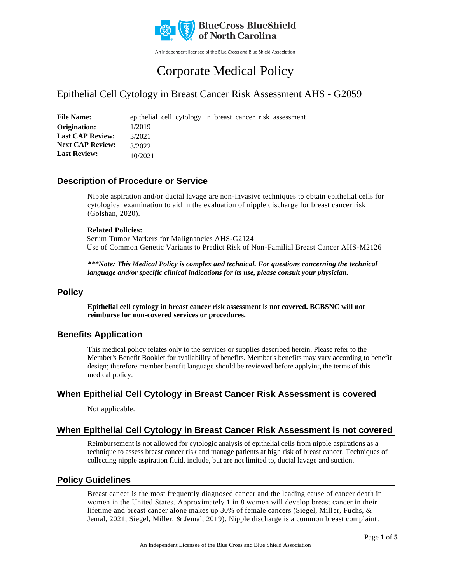

An independent licensee of the Blue Cross and Blue Shield Association

# Corporate Medical Policy

## Epithelial Cell Cytology in Breast Cancer Risk Assessment AHS - G2059

File Name: epithelial\_cell\_cytology\_in\_breast\_cancer\_risk\_assessment 1/2019 3/2021 3/2022 10/2021 **Origination: Last CAP Review: Next CAP Review: Last Review:**

## **Description of Procedure or Service**

Nipple aspiration and/or ductal lavage are non-invasive techniques to obtain epithelial cells for cytological examination to aid in the evaluation of nipple discharge for breast cancer risk (Golshan, 2020).

#### **Related Policies:**

Serum Tumor Markers for Malignancies AHS-G2124 Use of Common Genetic Variants to Predict Risk of Non-Familial Breast Cancer AHS-M2126

*\*\*\*Note: This Medical Policy is complex and technical. For questions concerning the technical language and/or specific clinical indications for its use, please consult your physician.*

### **Policy**

**Epithelial cell cytology in breast cancer risk assessment is not covered. BCBSNC will not reimburse for non-covered services or procedures.**

## **Benefits Application**

This medical policy relates only to the services or supplies described herein. Please refer to the Member's Benefit Booklet for availability of benefits. Member's benefits may vary according to benefit design; therefore member benefit language should be reviewed before applying the terms of this medical policy.

## **When Epithelial Cell Cytology in Breast Cancer Risk Assessment is covered**

Not applicable.

## **When Epithelial Cell Cytology in Breast Cancer Risk Assessment is not covered**

Reimbursement is not allowed for cytologic analysis of epithelial cells from nipple aspirations as a technique to assess breast cancer risk and manage patients at high risk of breast cancer. Techniques of collecting nipple aspiration fluid, include, but are not limited to, ductal lavage and suction.

## **Policy Guidelines**

Breast cancer is the most frequently diagnosed cancer and the leading cause of cancer death in women in the United States. Approximately 1 in 8 women will develop breast cancer in their lifetime and breast cancer alone makes up 30% of female cancers (Siegel, Miller, Fuchs, & Jemal, 2021; Siegel, Miller, & Jemal, 2019). Nipple discharge is a common breast complaint.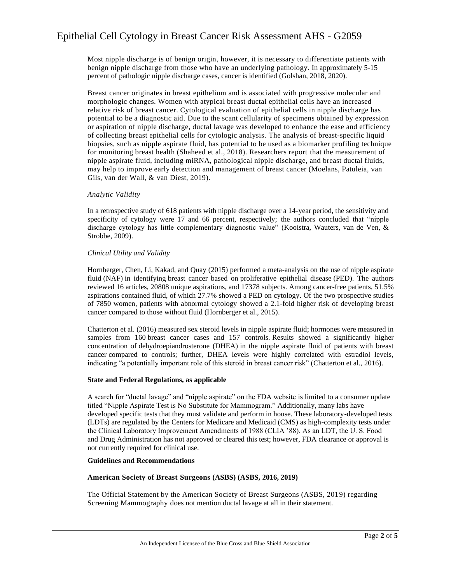## Epithelial Cell Cytology in Breast Cancer Risk Assessment AHS - G2059

Most nipple discharge is of benign origin, however, it is necessary to differentiate patients with benign nipple discharge from those who have an underlying pathology. In approximately 5-15 percent of pathologic nipple discharge cases, cancer is identified (Golshan, 2018, 2020).

Breast cancer originates in breast epithelium and is associated with progressive molecular and morphologic changes. Women with atypical breast ductal epithelial cells have an increased relative risk of breast cancer. Cytological evaluation of epithelial cells in nipple discharge has potential to be a diagnostic aid. Due to the scant cellularity of specimens obtained by expression or aspiration of nipple discharge, ductal lavage was developed to enhance the ease and efficiency of collecting breast epithelial cells for cytologic analysis. The analysis of breast-specific liquid biopsies, such as nipple aspirate fluid, has potential to be used as a biomarker profiling technique for monitoring breast health (Shaheed et al., 2018). Researchers report that the measurement of nipple aspirate fluid, including miRNA, pathological nipple discharge, and breast ductal fluids, may help to improve early detection and management of breast cancer (Moelans, Patuleia, van Gils, van der Wall, & van Diest, 2019).

#### *Analytic Validity*

In a retrospective study of 618 patients with nipple discharge over a 14-year period, the sensitivity and specificity of cytology were 17 and 66 percent, respectively; the authors concluded that "nipple discharge cytology has little complementary diagnostic value" (Kooistra, Wauters, van de Ven, & Strobbe, 2009).

#### *Clinical Utility and Validity*

Hornberger, Chen, Li, Kakad, and Quay (2015) performed a meta-analysis on the use of nipple aspirate fluid (NAF) in identifying breast cancer based on proliferative epithelial disease (PED). The authors reviewed 16 articles, 20808 unique aspirations, and 17378 subjects. Among cancer-free patients, 51.5% aspirations contained fluid, of which 27.7% showed a PED on cytology. Of the two prospective studies of 7850 women, patients with abnormal cytology showed a 2.1-fold higher risk of developing breast cancer compared to those without fluid (Hornberger et al., 2015).

Chatterton et al. (2016) measured sex steroid levels in nipple aspirate fluid; hormones were measured in samples from 160 breast cancer cases and 157 controls. Results showed a significantly higher concentration of dehydroepiandrosterone (DHEA) in the nipple aspirate fluid of patients with breast cancer compared to controls; further, DHEA levels were highly correlated with estradiol levels, indicating "a potentially important role of this steroid in breast cancer risk" (Chatterton et al., 2016).

#### **State and Federal Regulations, as applicable**

A search for "ductal lavage" and "nipple aspirate" on the FDA website is limited to a consumer update titled "Nipple Aspirate Test is No Substitute for Mammogram." Additionally, many labs have developed specific tests that they must validate and perform in house. These laboratory-developed tests (LDTs) are regulated by the Centers for Medicare and Medicaid (CMS) as high-complexity tests under the Clinical Laboratory Improvement Amendments of 1988 (CLIA '88). As an LDT, the U. S. Food and Drug Administration has not approved or cleared this test; however, FDA clearance or approval is not currently required for clinical use.

#### **Guidelines and Recommendations**

#### **American Society of Breast Surgeons (ASBS) (ASBS, 2016, 2019)**

The Official Statement by the American Society of Breast Surgeons (ASBS, 2019) regarding Screening Mammography does not mention ductal lavage at all in their statement.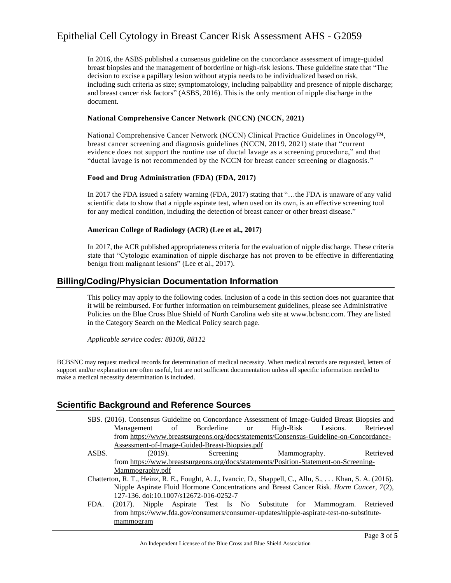## Epithelial Cell Cytology in Breast Cancer Risk Assessment AHS - G2059

In 2016, the ASBS published a consensus guideline on the concordance assessment of image-guided breast biopsies and the management of borderline or high-risk lesions. These guideline state that "The decision to excise a papillary lesion without atypia needs to be individualized based on risk, including such criteria as size; symptomatology, including palpability and presence of nipple discharge; and breast cancer risk factors" (ASBS, 2016). This is the only mention of nipple discharge in the document.

#### **National Comprehensive Cancer Network (NCCN) (NCCN, 2021)**

National Comprehensive Cancer Network (NCCN) Clinical Practice Guidelines in Oncology™, breast cancer screening and diagnosis guidelines (NCCN, 2019, 2021) state that "current evidence does not support the routine use of ductal lavage as a screening procedure," and that "ductal lavage is not recommended by the NCCN for breast cancer screening or diagnosis. "

#### **Food and Drug Administration (FDA) (FDA, 2017)**

In 2017 the FDA issued a safety warning (FDA, 2017) stating that "…the FDA is unaware of any valid scientific data to show that a nipple aspirate test, when used on its own, is an effective screening tool for any medical condition, including the detection of breast cancer or other breast disease."

#### **American College of Radiology (ACR) (Lee et al., 2017)**

In 2017, the ACR published appropriateness criteria for the evaluation of nipple discharge. These criteria state that "Cytologic examination of nipple discharge has not proven to be effective in differentiating benign from malignant lesions" (Lee et al., 2017).

## **Billing/Coding/Physician Documentation Information**

This policy may apply to the following codes. Inclusion of a code in this section does not guarantee that it will be reimbursed. For further information on reimbursement guidelines, please see Administrative Policies on the Blue Cross Blue Shield of North Carolina web site at www.bcbsnc.com. They are listed in the Category Search on the Medical Policy search page.

*Applicable service codes: 88108, 88112*

BCBSNC may request medical records for determination of medical necessity. When medical records are requested, letters of support and/or explanation are often useful, but are not sufficient documentation unless all specific information needed to make a medical necessity determination is included.

### **Scientific Background and Reference Sources**

- SBS. (2016). Consensus Guideline on Concordance Assessment of Image-Guided Breast Biopsies and Management of Borderline or High-Risk Lesions. Retrieved from [https://www.breastsurgeons.org/docs/statements/Consensus-Guideline-on-Concordance-](https://www.breastsurgeons.org/docs/statements/Consensus-Guideline-on-Concordance-Assessment-of-Image-Guided-Breast-Biopsies.pdf)[Assessment-of-Image-Guided-Breast-Biopsies.pdf](https://www.breastsurgeons.org/docs/statements/Consensus-Guideline-on-Concordance-Assessment-of-Image-Guided-Breast-Biopsies.pdf)
- ASBS. (2019). Screening Mammography. Retrieved from [https://www.breastsurgeons.org/docs/statements/Position-Statement-on-Screening-](https://www.breastsurgeons.org/docs/statements/Position-Statement-on-Screening-Mammography.pdf)[Mammography.pdf](https://www.breastsurgeons.org/docs/statements/Position-Statement-on-Screening-Mammography.pdf)
- Chatterton, R. T., Heinz, R. E., Fought, A. J., Ivancic, D., Shappell, C., Allu, S., . . . Khan, S. A. (2016). Nipple Aspirate Fluid Hormone Concentrations and Breast Cancer Risk. *Horm Cancer, 7*(2), 127-136. doi:10.1007/s12672-016-0252-7
- FDA. (2017). Nipple Aspirate Test Is No Substitute for Mammogram. Retrieved from [https://www.fda.gov/consumers/consumer-updates/nipple-aspirate-test-no-substitute](https://www.fda.gov/consumers/consumer-updates/nipple-aspirate-test-no-substitute-mammogram)[mammogram](https://www.fda.gov/consumers/consumer-updates/nipple-aspirate-test-no-substitute-mammogram)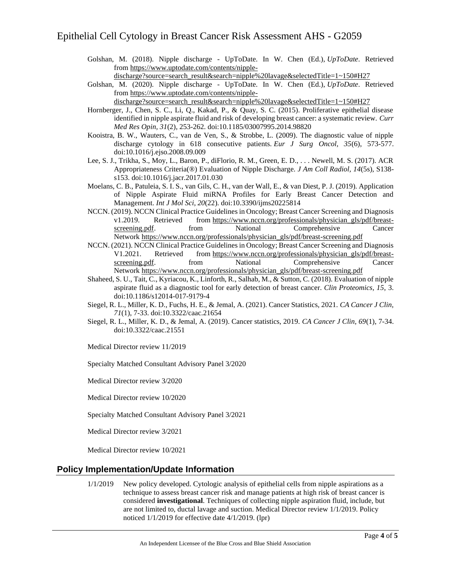Golshan, M. (2018). Nipple discharge - UpToDate. In W. Chen (Ed.), *UpToDate*. Retrieved from [https://www.uptodate.com/contents/nipple-](https://www.uptodate.com/contents/nipple-discharge?source=search_result&search=nipple%20lavage&selectedTitle=1~150#H27)

[discharge?source=search\\_result&search=nipple%20lavage&selectedTitle=1~150#H27](https://www.uptodate.com/contents/nipple-discharge?source=search_result&search=nipple%20lavage&selectedTitle=1~150#H27)

Golshan, M. (2020). Nipple discharge - UpToDate. In W. Chen (Ed.), *UpToDate*. Retrieved from [https://www.uptodate.com/contents/nipple-](https://www.uptodate.com/contents/nipple-discharge?source=search_result&search=nipple%20lavage&selectedTitle=1~150#H27)

[discharge?source=search\\_result&search=nipple%20lavage&selectedTitle=1~150#H27](https://www.uptodate.com/contents/nipple-discharge?source=search_result&search=nipple%20lavage&selectedTitle=1~150#H27)

- Hornberger, J., Chen, S. C., Li, Q., Kakad, P., & Quay, S. C. (2015). Proliferative epithelial disease identified in nipple aspirate fluid and risk of developing breast cancer: a systematic review. *Curr Med Res Opin, 31*(2), 253-262. doi:10.1185/03007995.2014.98820
- Kooistra, B. W., Wauters, C., van de Ven, S., & Strobbe, L. (2009). The diagnostic value of nipple discharge cytology in 618 consecutive patients. *Eur J Surg Oncol, 35*(6), 573-577. doi:10.1016/j.ejso.2008.09.009
- Lee, S. J., Trikha, S., Moy, L., Baron, P., diFlorio, R. M., Green, E. D., . . . Newell, M. S. (2017). ACR Appropriateness Criteria(®) Evaluation of Nipple Discharge. *J Am Coll Radiol, 14*(5s), S138 s153. doi:10.1016/j.jacr.2017.01.030
- Moelans, C. B., Patuleia, S. I. S., van Gils, C. H., van der Wall, E., & van Diest, P. J. (2019). Application of Nipple Aspirate Fluid miRNA Profiles for Early Breast Cancer Detection and Management. *Int J Mol Sci, 20*(22). doi:10.3390/ijms20225814
- NCCN. (2019). NCCN Clinical Practice Guidelines in Oncology; Breast Cancer Screening and Diagnosis v1.2019. Retrieved from [https://www.nccn.org/professionals/physician\\_gls/pdf/breast](https://www.nccn.org/professionals/physician_gls/pdf/breast-screening.pdf)[screening.pdf.](https://www.nccn.org/professionals/physician_gls/pdf/breast-screening.pdf) from National Comprehensive Cancer Network [https://www.nccn.org/professionals/physician\\_gls/pdf/breast-screening.pdf](https://www.nccn.org/professionals/physician_gls/pdf/breast-screening.pdf)
- NCCN. (2021). NCCN Clinical Practice Guidelines in Oncology; Breast Cancer Screening and Diagnosis V1.2021. Retrieved from [https://www.nccn.org/professionals/physician\\_gls/pdf/breast](https://www.nccn.org/professionals/physician_gls/pdf/breast-screening.pdf)[screening.pdf.](https://www.nccn.org/professionals/physician_gls/pdf/breast-screening.pdf) from National Comprehensive Cancer Network [https://www.nccn.org/professionals/physician\\_gls/pdf/breast-screening.pdf](https://www.nccn.org/professionals/physician_gls/pdf/breast-screening.pdf)
- Shaheed, S. U., Tait, C., Kyriacou, K., Linforth, R., Salhab, M., & Sutton, C. (2018). Evaluation of nipple aspirate fluid as a diagnostic tool for early detection of breast cancer. *Clin Proteomics, 15*, 3. doi:10.1186/s12014-017-9179-4
- Siegel, R. L., Miller, K. D., Fuchs, H. E., & Jemal, A. (2021). Cancer Statistics, 2021. *CA Cancer J Clin, 71*(1), 7-33. doi:10.3322/caac.21654
- Siegel, R. L., Miller, K. D., & Jemal, A. (2019). Cancer statistics, 2019. *CA Cancer J Clin, 69*(1), 7-34. doi:10.3322/caac.21551

Medical Director review 11/2019

Specialty Matched Consultant Advisory Panel 3/2020

Medical Director review 3/2020

Medical Director review 10/2020

Specialty Matched Consultant Advisory Panel 3/2021

Medical Director review 3/2021

Medical Director review 10/2021

## **Policy Implementation/Update Information**

1/1/2019 New policy developed. Cytologic analysis of epithelial cells from nipple aspirations as a technique to assess breast cancer risk and manage patients at high risk of breast cancer is considered **investigational**. Techniques of collecting nipple aspiration fluid, include, but are not limited to, ductal lavage and suction. Medical Director review 1/1/2019. Policy noticed 1/1/2019 for effective date 4/1/2019. (lpr)